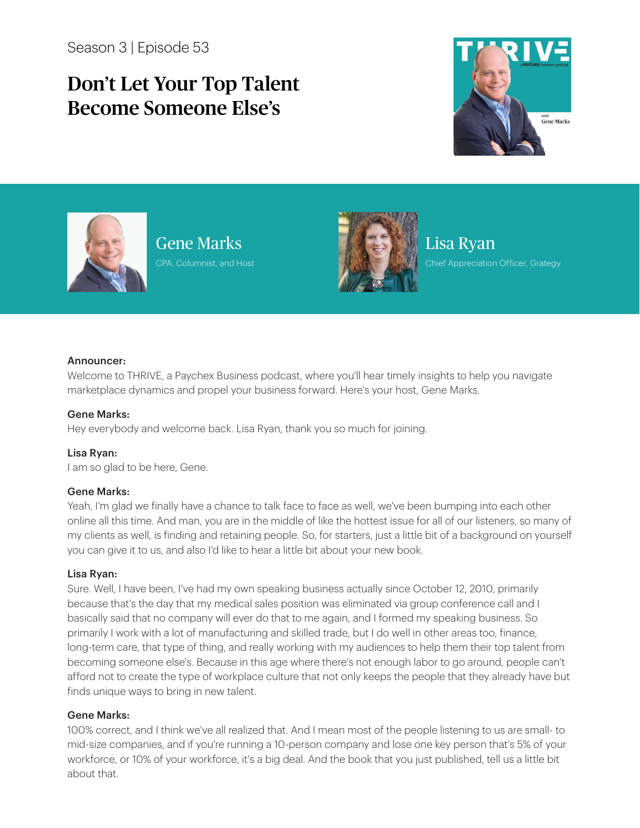Season 3 | Episode 53

# Don't Let Your Top Talent Become Someone Else's





Gene Marks CPA, Columnist, and Host



Lisa Ryan Chief Appreciation Officer, Grategy

## Announcer:

Welcome to THRIVE, a Paychex Business podcast, where you'll hear timely insights to help you navigate marketplace dynamics and propel your business forward. Here's your host, Gene Marks.

## Gene Marks:

Hey everybody and welcome back. Lisa Ryan, thank you so much for joining.

Lisa Ryan: I am so glad to be here, Gene.

## Gene Marks:

Yeah, I'm glad we finally have a chance to talk face to face as well, we've been bumping into each other online all this time. And man, you are in the middle of like the hottest issue for all of our listeners, so many of my clients as well, is finding and retaining people. So, for starters, just a little bit of a background on yourself you can give it to us, and also I'd like to hear a little bit about your new book.

## Lisa Ryan:

Sure. Well, I have been, I've had my own speaking business actually since October 12, 2010, primarily because that's the day that my medical sales position was eliminated via group conference call and I basically said that no company will ever do that to me again, and I formed my speaking business. So primarily I work with a lot of manufacturing and skilled trade, but I do well in other areas too, finance, long-term care, that type of thing, and really working with my audiences to help them their top talent from becoming someone else's. Because in this age where there's not enough labor to go around, people can't afford not to create the type of workplace culture that not only keeps the people that they already have but finds unique ways to bring in new talent.

## Gene Marks:

100% correct, and I think we've all realized that. And I mean most of the people listening to us are small- to mid-size companies, and if you're running a 10-person company and lose one key person that's 5% of your workforce, or 10% of your workforce, it's a big deal. And the book that you just published, tell us a little bit about that.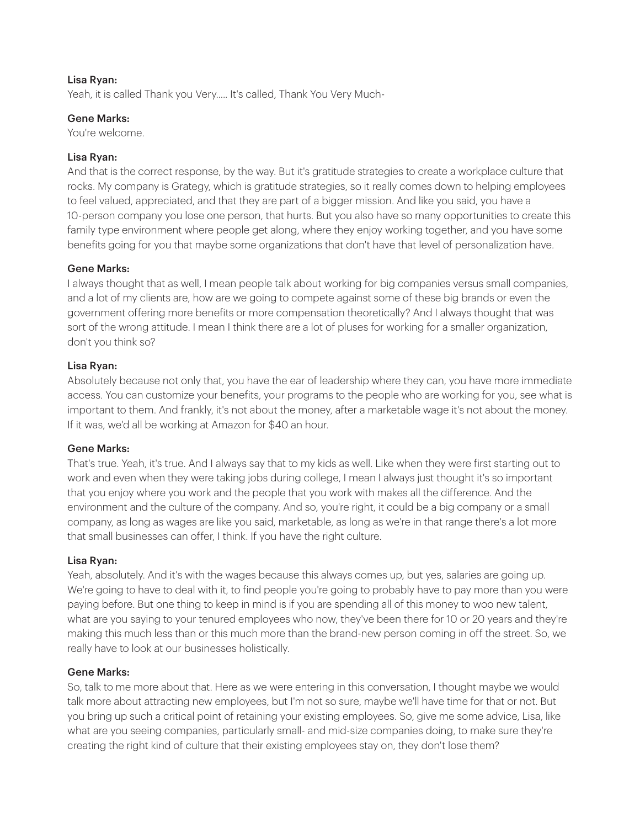# Lisa Ryan:

Yeah, it is called Thank you Very..... It's called, Thank You Very Much-

# Gene Marks:

You're welcome.

# Lisa Ryan:

And that is the correct response, by the way. But it's gratitude strategies to create a workplace culture that rocks. My company is Grategy, which is gratitude strategies, so it really comes down to helping employees to feel valued, appreciated, and that they are part of a bigger mission. And like you said, you have a 10-person company you lose one person, that hurts. But you also have so many opportunities to create this family type environment where people get along, where they enjoy working together, and you have some benefits going for you that maybe some organizations that don't have that level of personalization have.

# Gene Marks:

I always thought that as well, I mean people talk about working for big companies versus small companies, and a lot of my clients are, how are we going to compete against some of these big brands or even the government offering more benefits or more compensation theoretically? And I always thought that was sort of the wrong attitude. I mean I think there are a lot of pluses for working for a smaller organization, don't you think so?

## Lisa Ryan:

Absolutely because not only that, you have the ear of leadership where they can, you have more immediate access. You can customize your benefits, your programs to the people who are working for you, see what is important to them. And frankly, it's not about the money, after a marketable wage it's not about the money. If it was, we'd all be working at Amazon for \$40 an hour.

## Gene Marks:

That's true. Yeah, it's true. And I always say that to my kids as well. Like when they were first starting out to work and even when they were taking jobs during college, I mean I always just thought it's so important that you enjoy where you work and the people that you work with makes all the difference. And the environment and the culture of the company. And so, you're right, it could be a big company or a small company, as long as wages are like you said, marketable, as long as we're in that range there's a lot more that small businesses can offer, I think. If you have the right culture.

## Lisa Ryan:

Yeah, absolutely. And it's with the wages because this always comes up, but yes, salaries are going up. We're going to have to deal with it, to find people you're going to probably have to pay more than you were paying before. But one thing to keep in mind is if you are spending all of this money to woo new talent, what are you saying to your tenured employees who now, they've been there for 10 or 20 years and they're making this much less than or this much more than the brand-new person coming in off the street. So, we really have to look at our businesses holistically.

# Gene Marks:

So, talk to me more about that. Here as we were entering in this conversation, I thought maybe we would talk more about attracting new employees, but I'm not so sure, maybe we'll have time for that or not. But you bring up such a critical point of retaining your existing employees. So, give me some advice, Lisa, like what are you seeing companies, particularly small- and mid-size companies doing, to make sure they're creating the right kind of culture that their existing employees stay on, they don't lose them?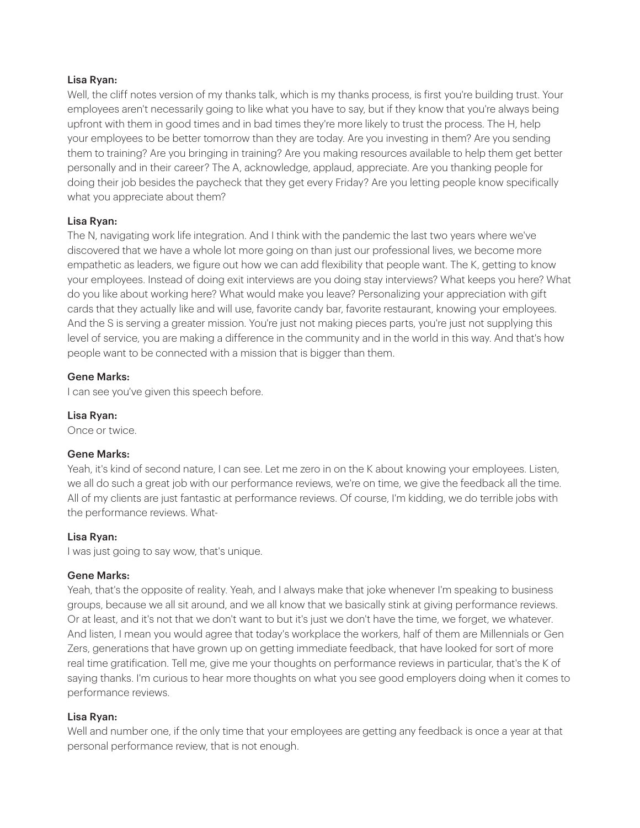# Lisa Ryan:

Well, the cliff notes version of my thanks talk, which is my thanks process, is first you're building trust. Your employees aren't necessarily going to like what you have to say, but if they know that you're always being upfront with them in good times and in bad times they're more likely to trust the process. The H, help your employees to be better tomorrow than they are today. Are you investing in them? Are you sending them to training? Are you bringing in training? Are you making resources available to help them get better personally and in their career? The A, acknowledge, applaud, appreciate. Are you thanking people for doing their job besides the paycheck that they get every Friday? Are you letting people know specifically what you appreciate about them?

# Lisa Ryan:

The N, navigating work life integration. And I think with the pandemic the last two years where we've discovered that we have a whole lot more going on than just our professional lives, we become more empathetic as leaders, we figure out how we can add flexibility that people want. The K, getting to know your employees. Instead of doing exit interviews are you doing stay interviews? What keeps you here? What do you like about working here? What would make you leave? Personalizing your appreciation with gift cards that they actually like and will use, favorite candy bar, favorite restaurant, knowing your employees. And the S is serving a greater mission. You're just not making pieces parts, you're just not supplying this level of service, you are making a difference in the community and in the world in this way. And that's how people want to be connected with a mission that is bigger than them.

# Gene Marks:

I can see you've given this speech before.

## Lisa Ryan:

Once or twice.

## Gene Marks:

Yeah, it's kind of second nature, I can see. Let me zero in on the K about knowing your employees. Listen, we all do such a great job with our performance reviews, we're on time, we give the feedback all the time. All of my clients are just fantastic at performance reviews. Of course, I'm kidding, we do terrible jobs with the performance reviews. What-

## Lisa Ryan:

I was just going to say wow, that's unique.

## Gene Marks:

Yeah, that's the opposite of reality. Yeah, and I always make that joke whenever I'm speaking to business groups, because we all sit around, and we all know that we basically stink at giving performance reviews. Or at least, and it's not that we don't want to but it's just we don't have the time, we forget, we whatever. And listen, I mean you would agree that today's workplace the workers, half of them are Millennials or Gen Zers, generations that have grown up on getting immediate feedback, that have looked for sort of more real time gratification. Tell me, give me your thoughts on performance reviews in particular, that's the K of saying thanks. I'm curious to hear more thoughts on what you see good employers doing when it comes to performance reviews.

## Lisa Ryan:

Well and number one, if the only time that your employees are getting any feedback is once a year at that personal performance review, that is not enough.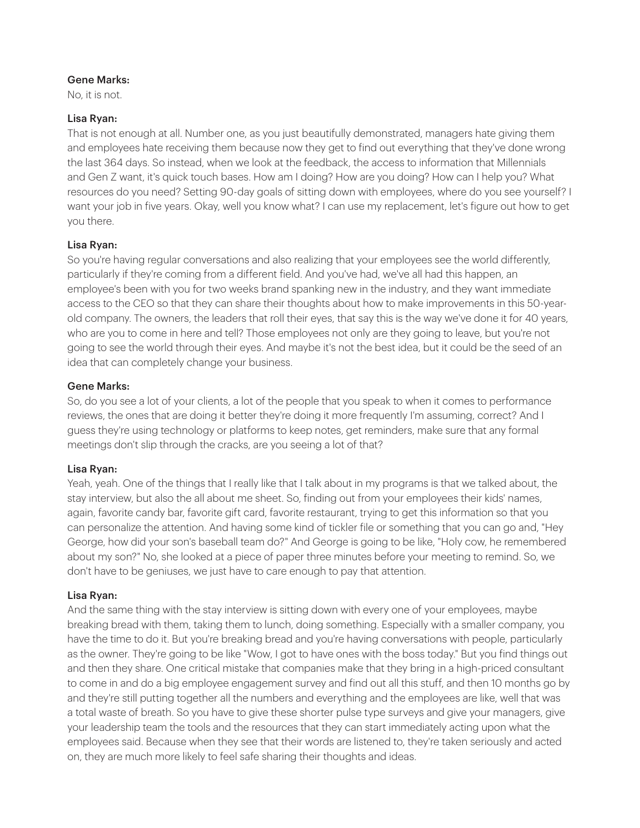No, it is not.

# Lisa Ryan:

That is not enough at all. Number one, as you just beautifully demonstrated, managers hate giving them and employees hate receiving them because now they get to find out everything that they've done wrong the last 364 days. So instead, when we look at the feedback, the access to information that Millennials and Gen Z want, it's quick touch bases. How am I doing? How are you doing? How can I help you? What resources do you need? Setting 90-day goals of sitting down with employees, where do you see yourself? I want your job in five years. Okay, well you know what? I can use my replacement, let's figure out how to get you there.

# Lisa Ryan:

So you're having regular conversations and also realizing that your employees see the world differently, particularly if they're coming from a different field. And you've had, we've all had this happen, an employee's been with you for two weeks brand spanking new in the industry, and they want immediate access to the CEO so that they can share their thoughts about how to make improvements in this 50-yearold company. The owners, the leaders that roll their eyes, that say this is the way we've done it for 40 years, who are you to come in here and tell? Those employees not only are they going to leave, but you're not going to see the world through their eyes. And maybe it's not the best idea, but it could be the seed of an idea that can completely change your business.

# Gene Marks:

So, do you see a lot of your clients, a lot of the people that you speak to when it comes to performance reviews, the ones that are doing it better they're doing it more frequently I'm assuming, correct? And I guess they're using technology or platforms to keep notes, get reminders, make sure that any formal meetings don't slip through the cracks, are you seeing a lot of that?

## Lisa Ryan:

Yeah, yeah. One of the things that I really like that I talk about in my programs is that we talked about, the stay interview, but also the all about me sheet. So, finding out from your employees their kids' names, again, favorite candy bar, favorite gift card, favorite restaurant, trying to get this information so that you can personalize the attention. And having some kind of tickler file or something that you can go and, "Hey George, how did your son's baseball team do?" And George is going to be like, "Holy cow, he remembered about my son?" No, she looked at a piece of paper three minutes before your meeting to remind. So, we don't have to be geniuses, we just have to care enough to pay that attention.

## Lisa Ryan:

And the same thing with the stay interview is sitting down with every one of your employees, maybe breaking bread with them, taking them to lunch, doing something. Especially with a smaller company, you have the time to do it. But you're breaking bread and you're having conversations with people, particularly as the owner. They're going to be like "Wow, I got to have ones with the boss today." But you find things out and then they share. One critical mistake that companies make that they bring in a high-priced consultant to come in and do a big employee engagement survey and find out all this stuff, and then 10 months go by and they're still putting together all the numbers and everything and the employees are like, well that was a total waste of breath. So you have to give these shorter pulse type surveys and give your managers, give your leadership team the tools and the resources that they can start immediately acting upon what the employees said. Because when they see that their words are listened to, they're taken seriously and acted on, they are much more likely to feel safe sharing their thoughts and ideas.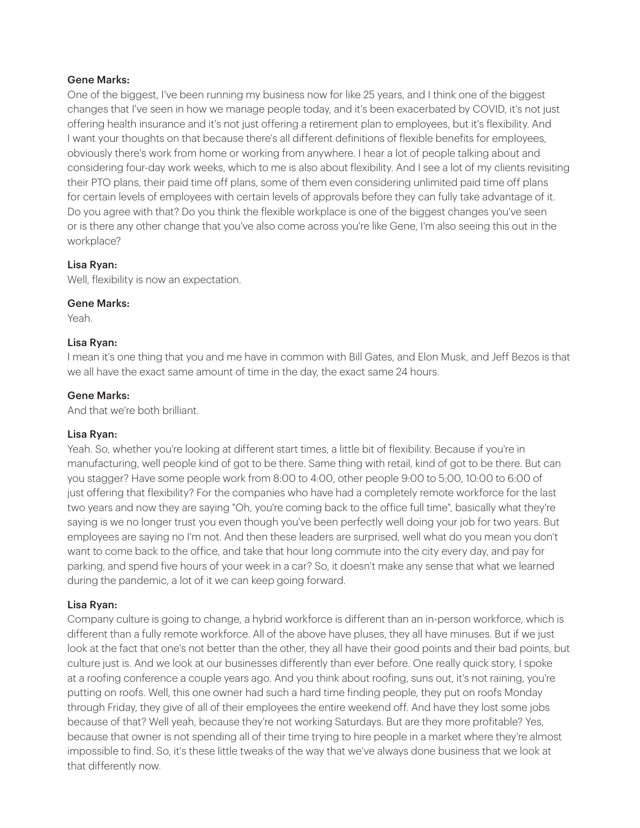One of the biggest, I've been running my business now for like 25 years, and I think one of the biggest changes that I've seen in how we manage people today, and it's been exacerbated by COVID, it's not just offering health insurance and it's not just offering a retirement plan to employees, but it's flexibility. And I want your thoughts on that because there's all different definitions of flexible benefits for employees, obviously there's work from home or working from anywhere. I hear a lot of people talking about and considering four-day work weeks, which to me is also about flexibility. And I see a lot of my clients revisiting their PTO plans, their paid time off plans, some of them even considering unlimited paid time off plans for certain levels of employees with certain levels of approvals before they can fully take advantage of it. Do you agree with that? Do you think the flexible workplace is one of the biggest changes you've seen or is there any other change that you've also come across you're like Gene, I'm also seeing this out in the workplace?

# Lisa Ryan:

Well, flexibility is now an expectation.

# Gene Marks:

Yeah.

# Lisa Ryan:

I mean it's one thing that you and me have in common with Bill Gates, and Elon Musk, and Jeff Bezos is that we all have the exact same amount of time in the day, the exact same 24 hours.

# Gene Marks:

And that we're both brilliant.

## Lisa Ryan:

Yeah. So, whether you're looking at different start times, a little bit of flexibility. Because if you're in manufacturing, well people kind of got to be there. Same thing with retail, kind of got to be there. But can you stagger? Have some people work from 8:00 to 4:00, other people 9:00 to 5:00, 10:00 to 6:00 of just offering that flexibility? For the companies who have had a completely remote workforce for the last two years and now they are saying "Oh, you're coming back to the office full time", basically what they're saying is we no longer trust you even though you've been perfectly well doing your job for two years. But employees are saying no I'm not. And then these leaders are surprised, well what do you mean you don't want to come back to the office, and take that hour long commute into the city every day, and pay for parking, and spend five hours of your week in a car? So, it doesn't make any sense that what we learned during the pandemic, a lot of it we can keep going forward.

# Lisa Ryan:

Company culture is going to change, a hybrid workforce is different than an in-person workforce, which is different than a fully remote workforce. All of the above have pluses, they all have minuses. But if we just look at the fact that one's not better than the other, they all have their good points and their bad points, but culture just is. And we look at our businesses differently than ever before. One really quick story, I spoke at a roofing conference a couple years ago. And you think about roofing, suns out, it's not raining, you're putting on roofs. Well, this one owner had such a hard time finding people, they put on roofs Monday through Friday, they give of all of their employees the entire weekend off. And have they lost some jobs because of that? Well yeah, because they're not working Saturdays. But are they more profitable? Yes, because that owner is not spending all of their time trying to hire people in a market where they're almost impossible to find. So, it's these little tweaks of the way that we've always done business that we look at that differently now.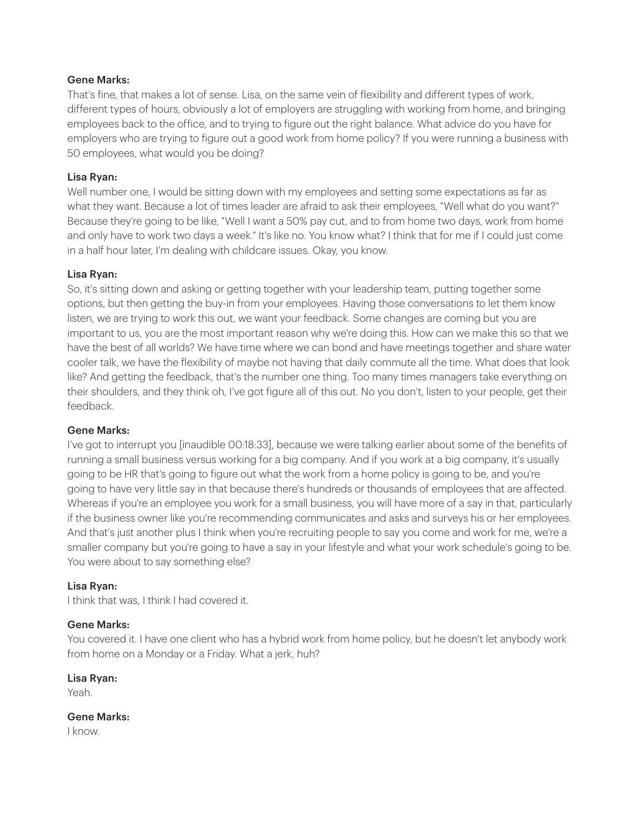That's fine, that makes a lot of sense. Lisa, on the same vein of flexibility and different types of work, different types of hours, obviously a lot of employers are struggling with working from home, and bringing employees back to the office, and to trying to figure out the right balance. What advice do you have for employers who are trying to figure out a good work from home policy? If you were running a business with 50 employees, what would you be doing?

# Lisa Ryan:

Well number one, I would be sitting down with my employees and setting some expectations as far as what they want. Because a lot of times leader are afraid to ask their employees, "Well what do you want?" Because they're going to be like, "Well I want a 50% pay cut, and to from home two days, work from home and only have to work two days a week." It's like no. You know what? I think that for me if I could just come in a half hour later, I'm dealing with childcare issues. Okay, you know.

# Lisa Ryan:

So, it's sitting down and asking or getting together with your leadership team, putting together some options, but then getting the buy-in from your employees. Having those conversations to let them know listen, we are trying to work this out, we want your feedback. Some changes are coming but you are important to us, you are the most important reason why we're doing this. How can we make this so that we have the best of all worlds? We have time where we can bond and have meetings together and share water cooler talk, we have the flexibility of maybe not having that daily commute all the time. What does that look like? And getting the feedback, that's the number one thing. Too many times managers take everything on their shoulders, and they think oh, I've got figure all of this out. No you don't, listen to your people, get their feedback.

# Gene Marks:

I've got to interrupt you [inaudible 00:18:33], because we were talking earlier about some of the benefits of running a small business versus working for a big company. And if you work at a big company, it's usually going to be HR that's going to figure out what the work from a home policy is going to be, and you're going to have very little say in that because there's hundreds or thousands of employees that are affected. Whereas if you're an employee you work for a small business, you will have more of a say in that, particularly if the business owner like you're recommending communicates and asks and surveys his or her employees. And that's just another plus I think when you're recruiting people to say you come and work for me, we're a smaller company but you're going to have a say in your lifestyle and what your work schedule's going to be. You were about to say something else?

# Lisa Ryan:

I think that was, I think I had covered it.

## Gene Marks:

You covered it. I have one client who has a hybrid work from home policy, but he doesn't let anybody work from home on a Monday or a Friday. What a jerk, huh?

Lisa Ryan:

Yeah.

Gene Marks:

I know.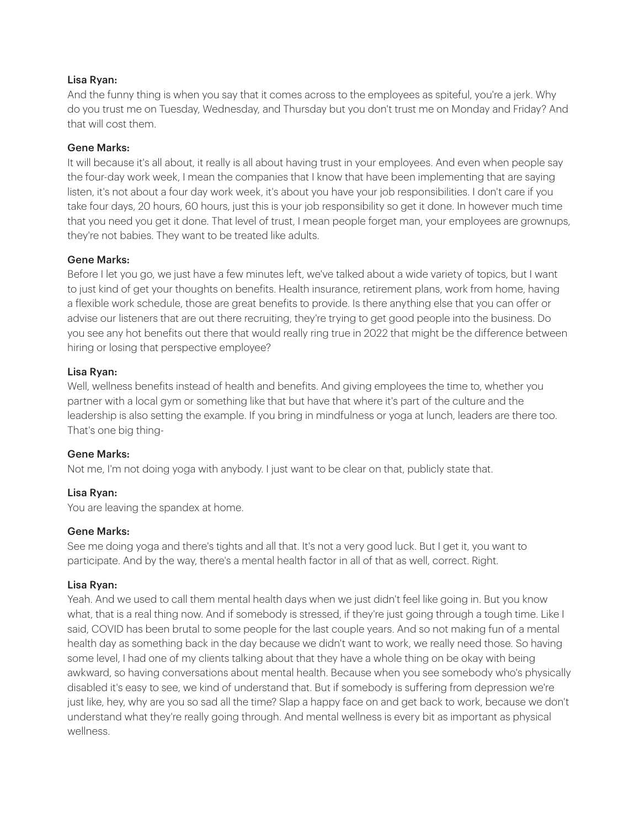# Lisa Ryan:

And the funny thing is when you say that it comes across to the employees as spiteful, you're a jerk. Why do you trust me on Tuesday, Wednesday, and Thursday but you don't trust me on Monday and Friday? And that will cost them.

# Gene Marks:

It will because it's all about, it really is all about having trust in your employees. And even when people say the four-day work week, I mean the companies that I know that have been implementing that are saying listen, it's not about a four day work week, it's about you have your job responsibilities. I don't care if you take four days, 20 hours, 60 hours, just this is your job responsibility so get it done. In however much time that you need you get it done. That level of trust, I mean people forget man, your employees are grownups, they're not babies. They want to be treated like adults.

# Gene Marks:

Before I let you go, we just have a few minutes left, we've talked about a wide variety of topics, but I want to just kind of get your thoughts on benefits. Health insurance, retirement plans, work from home, having a flexible work schedule, those are great benefits to provide. Is there anything else that you can offer or advise our listeners that are out there recruiting, they're trying to get good people into the business. Do you see any hot benefits out there that would really ring true in 2022 that might be the difference between hiring or losing that perspective employee?

# Lisa Ryan:

Well, wellness benefits instead of health and benefits. And giving employees the time to, whether you partner with a local gym or something like that but have that where it's part of the culture and the leadership is also setting the example. If you bring in mindfulness or yoga at lunch, leaders are there too. That's one big thing-

## Gene Marks:

Not me, I'm not doing yoga with anybody. I just want to be clear on that, publicly state that.

# Lisa Ryan:

You are leaving the spandex at home.

## Gene Marks:

See me doing yoga and there's tights and all that. It's not a very good luck. But I get it, you want to participate. And by the way, there's a mental health factor in all of that as well, correct. Right.

## Lisa Ryan:

Yeah. And we used to call them mental health days when we just didn't feel like going in. But you know what, that is a real thing now. And if somebody is stressed, if they're just going through a tough time. Like I said, COVID has been brutal to some people for the last couple years. And so not making fun of a mental health day as something back in the day because we didn't want to work, we really need those. So having some level, I had one of my clients talking about that they have a whole thing on be okay with being awkward, so having conversations about mental health. Because when you see somebody who's physically disabled it's easy to see, we kind of understand that. But if somebody is suffering from depression we're just like, hey, why are you so sad all the time? Slap a happy face on and get back to work, because we don't understand what they're really going through. And mental wellness is every bit as important as physical wellness.